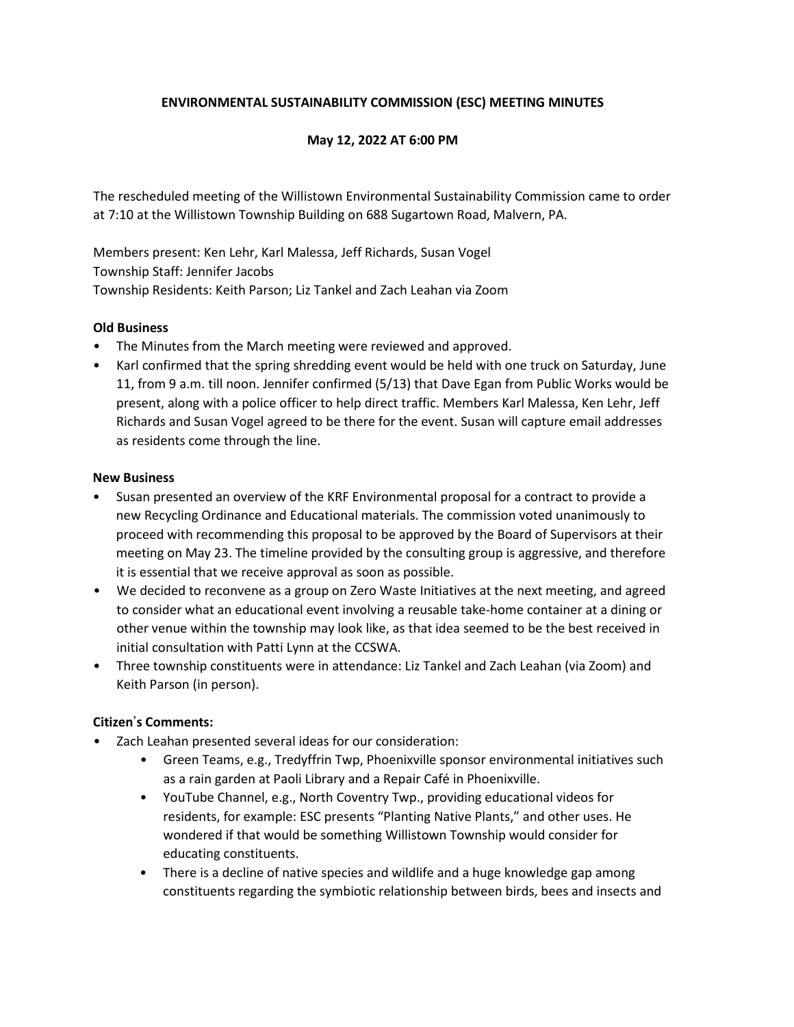# **ENVIRONMENTAL SUSTAINABILITY COMMISSION (ESC) MEETING MINUTES**

## **May 12, 2022 AT 6:00 PM**

The rescheduled meeting of the Willistown Environmental Sustainability Commission came to order at 7:10 at the Willistown Township Building on 688 Sugartown Road, Malvern, PA.

Members present: Ken Lehr, Karl Malessa, Jeff Richards, Susan Vogel Township Staff: Jennifer Jacobs Township Residents: Keith Parson; Liz Tankel and Zach Leahan via Zoom

### **Old Business**

- The Minutes from the March meeting were reviewed and approved.
- Karl confirmed that the spring shredding event would be held with one truck on Saturday, June 11, from 9 a.m. till noon. Jennifer confirmed (5/13) that Dave Egan from Public Works would be present, along with a police officer to help direct traffic. Members Karl Malessa, Ken Lehr, Jeff Richards and Susan Vogel agreed to be there for the event. Susan will capture email addresses as residents come through the line.

#### **New Business**

- Susan presented an overview of the KRF Environmental proposal for a contract to provide a new Recycling Ordinance and Educational materials. The commission voted unanimously to proceed with recommending this proposal to be approved by the Board of Supervisors at their meeting on May 23. The timeline provided by the consulting group is aggressive, and therefore it is essential that we receive approval as soon as possible.
- We decided to reconvene as a group on Zero Waste Initiatives at the next meeting, and agreed to consider what an educational event involving a reusable take-home container at a dining or other venue within the township may look like, as that idea seemed to be the best received in initial consultation with Patti Lynn at the CCSWA.
- Three township constituents were in attendance: Liz Tankel and Zach Leahan (via Zoom) and Keith Parson (in person).

# **Citizen**'**s Comments:**

- Zach Leahan presented several ideas for our consideration:
	- Green Teams, e.g., Tredyffrin Twp, Phoenixville sponsor environmental initiatives such as a rain garden at Paoli Library and a Repair Café in Phoenixville.
	- YouTube Channel, e.g., North Coventry Twp., providing educational videos for residents, for example: ESC presents "Planting Native Plants," and other uses. He wondered if that would be something Willistown Township would consider for educating constituents.
	- There is a decline of native species and wildlife and a huge knowledge gap among constituents regarding the symbiotic relationship between birds, bees and insects and